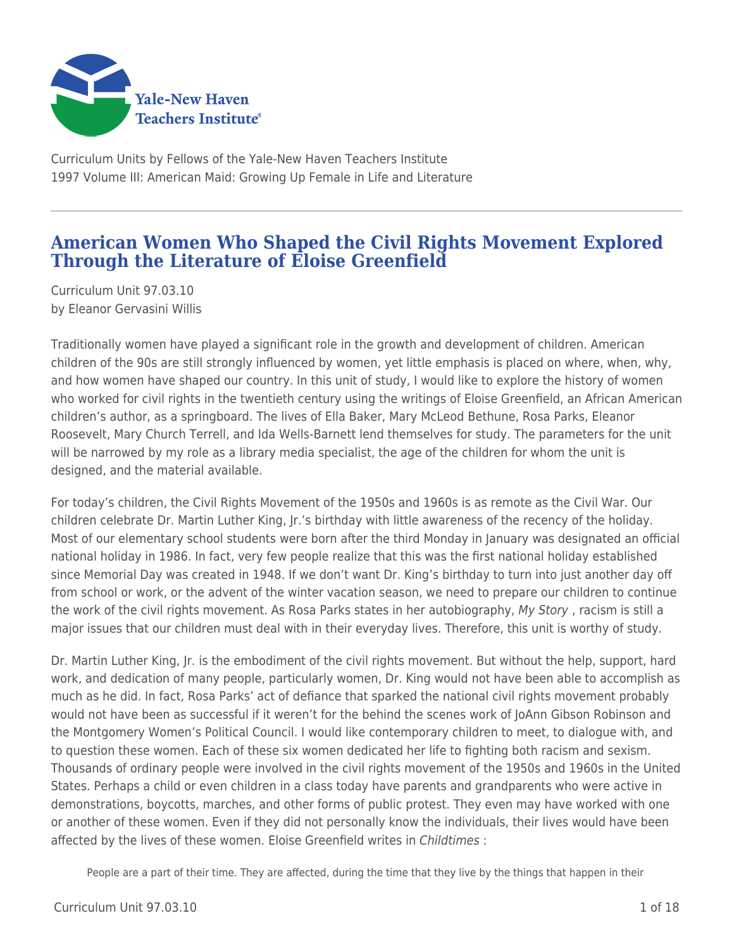

Curriculum Units by Fellows of the Yale-New Haven Teachers Institute 1997 Volume III: American Maid: Growing Up Female in Life and Literature

# **American Women Who Shaped the Civil Rights Movement Explored Through the Literature of Eloise Greenfield**

Curriculum Unit 97.03.10 by Eleanor Gervasini Willis

Traditionally women have played a significant role in the growth and development of children. American children of the 90s are still strongly influenced by women, yet little emphasis is placed on where, when, why, and how women have shaped our country. In this unit of study, I would like to explore the history of women who worked for civil rights in the twentieth century using the writings of Eloise Greenfield, an African American children's author, as a springboard. The lives of Ella Baker, Mary McLeod Bethune, Rosa Parks, Eleanor Roosevelt, Mary Church Terrell, and Ida Wells-Barnett lend themselves for study. The parameters for the unit will be narrowed by my role as a library media specialist, the age of the children for whom the unit is designed, and the material available.

For today's children, the Civil Rights Movement of the 1950s and 1960s is as remote as the Civil War. Our children celebrate Dr. Martin Luther King, Jr.'s birthday with little awareness of the recency of the holiday. Most of our elementary school students were born after the third Monday in January was designated an official national holiday in 1986. In fact, very few people realize that this was the first national holiday established since Memorial Day was created in 1948. If we don't want Dr. King's birthday to turn into just another day off from school or work, or the advent of the winter vacation season, we need to prepare our children to continue the work of the civil rights movement. As Rosa Parks states in her autobiography, My Story, racism is still a major issues that our children must deal with in their everyday lives. Therefore, this unit is worthy of study.

Dr. Martin Luther King, Jr. is the embodiment of the civil rights movement. But without the help, support, hard work, and dedication of many people, particularly women, Dr. King would not have been able to accomplish as much as he did. In fact, Rosa Parks' act of defiance that sparked the national civil rights movement probably would not have been as successful if it weren't for the behind the scenes work of JoAnn Gibson Robinson and the Montgomery Women's Political Council. I would like contemporary children to meet, to dialogue with, and to question these women. Each of these six women dedicated her life to fighting both racism and sexism. Thousands of ordinary people were involved in the civil rights movement of the 1950s and 1960s in the United States. Perhaps a child or even children in a class today have parents and grandparents who were active in demonstrations, boycotts, marches, and other forms of public protest. They even may have worked with one or another of these women. Even if they did not personally know the individuals, their lives would have been affected by the lives of these women. Eloise Greenfield writes in Childtimes :

People are a part of their time. They are affected, during the time that they live by the things that happen in their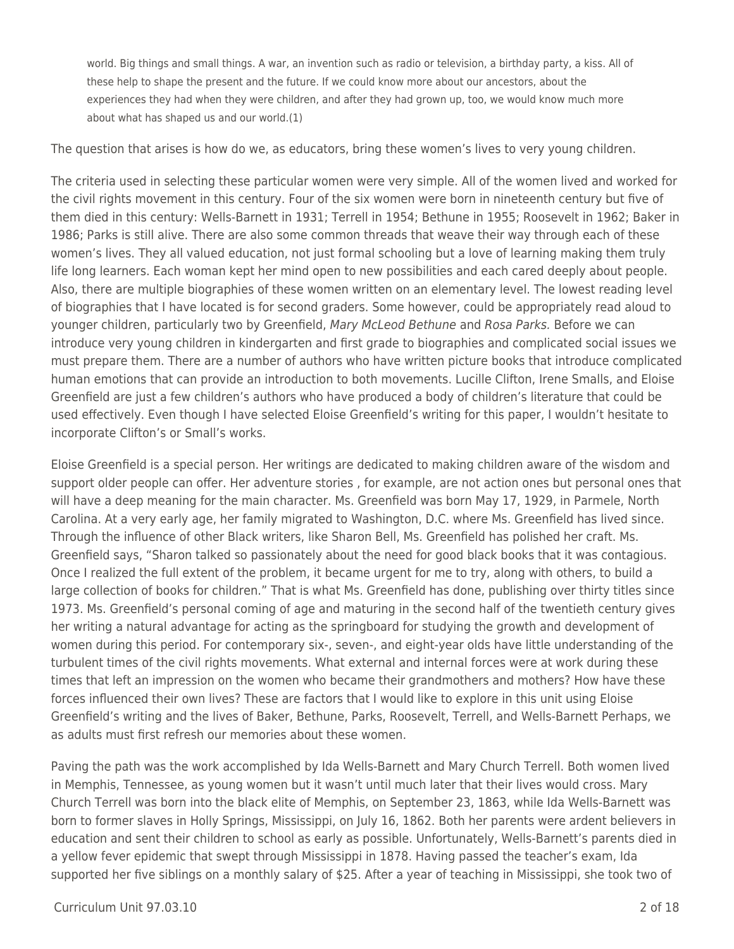world. Big things and small things. A war, an invention such as radio or television, a birthday party, a kiss. All of these help to shape the present and the future. If we could know more about our ancestors, about the experiences they had when they were children, and after they had grown up, too, we would know much more about what has shaped us and our world.(1)

The question that arises is how do we, as educators, bring these women's lives to very young children.

The criteria used in selecting these particular women were very simple. All of the women lived and worked for the civil rights movement in this century. Four of the six women were born in nineteenth century but five of them died in this century: Wells-Barnett in 1931; Terrell in 1954; Bethune in 1955; Roosevelt in 1962; Baker in 1986; Parks is still alive. There are also some common threads that weave their way through each of these women's lives. They all valued education, not just formal schooling but a love of learning making them truly life long learners. Each woman kept her mind open to new possibilities and each cared deeply about people. Also, there are multiple biographies of these women written on an elementary level. The lowest reading level of biographies that I have located is for second graders. Some however, could be appropriately read aloud to younger children, particularly two by Greenfield, Mary McLeod Bethune and Rosa Parks. Before we can introduce very young children in kindergarten and first grade to biographies and complicated social issues we must prepare them. There are a number of authors who have written picture books that introduce complicated human emotions that can provide an introduction to both movements. Lucille Clifton, Irene Smalls, and Eloise Greenfield are just a few children's authors who have produced a body of children's literature that could be used effectively. Even though I have selected Eloise Greenfield's writing for this paper, I wouldn't hesitate to incorporate Clifton's or Small's works.

Eloise Greenfield is a special person. Her writings are dedicated to making children aware of the wisdom and support older people can offer. Her adventure stories , for example, are not action ones but personal ones that will have a deep meaning for the main character. Ms. Greenfield was born May 17, 1929, in Parmele, North Carolina. At a very early age, her family migrated to Washington, D.C. where Ms. Greenfield has lived since. Through the influence of other Black writers, like Sharon Bell, Ms. Greenfield has polished her craft. Ms. Greenfield says, "Sharon talked so passionately about the need for good black books that it was contagious. Once I realized the full extent of the problem, it became urgent for me to try, along with others, to build a large collection of books for children." That is what Ms. Greenfield has done, publishing over thirty titles since 1973. Ms. Greenfield's personal coming of age and maturing in the second half of the twentieth century gives her writing a natural advantage for acting as the springboard for studying the growth and development of women during this period. For contemporary six-, seven-, and eight-year olds have little understanding of the turbulent times of the civil rights movements. What external and internal forces were at work during these times that left an impression on the women who became their grandmothers and mothers? How have these forces influenced their own lives? These are factors that I would like to explore in this unit using Eloise Greenfield's writing and the lives of Baker, Bethune, Parks, Roosevelt, Terrell, and Wells-Barnett Perhaps, we as adults must first refresh our memories about these women.

Paving the path was the work accomplished by Ida Wells-Barnett and Mary Church Terrell. Both women lived in Memphis, Tennessee, as young women but it wasn't until much later that their lives would cross. Mary Church Terrell was born into the black elite of Memphis, on September 23, 1863, while Ida Wells-Barnett was born to former slaves in Holly Springs, Mississippi, on July 16, 1862. Both her parents were ardent believers in education and sent their children to school as early as possible. Unfortunately, Wells-Barnett's parents died in a yellow fever epidemic that swept through Mississippi in 1878. Having passed the teacher's exam, Ida supported her five siblings on a monthly salary of \$25. After a year of teaching in Mississippi, she took two of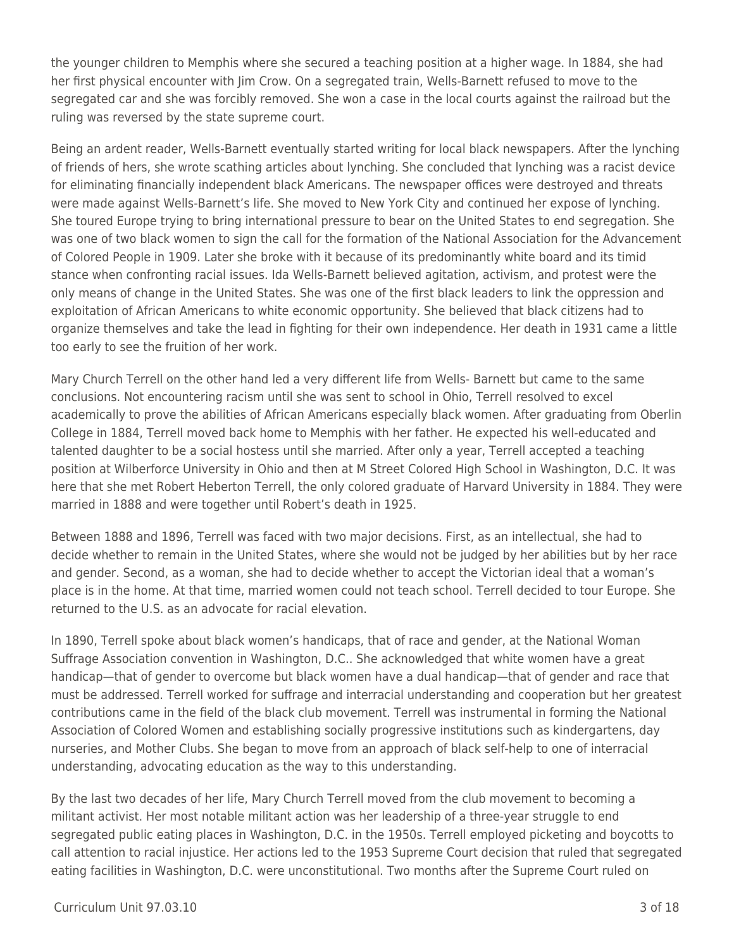the younger children to Memphis where she secured a teaching position at a higher wage. In 1884, she had her first physical encounter with Jim Crow. On a segregated train, Wells-Barnett refused to move to the segregated car and she was forcibly removed. She won a case in the local courts against the railroad but the ruling was reversed by the state supreme court.

Being an ardent reader, Wells-Barnett eventually started writing for local black newspapers. After the lynching of friends of hers, she wrote scathing articles about lynching. She concluded that lynching was a racist device for eliminating financially independent black Americans. The newspaper offices were destroyed and threats were made against Wells-Barnett's life. She moved to New York City and continued her expose of lynching. She toured Europe trying to bring international pressure to bear on the United States to end segregation. She was one of two black women to sign the call for the formation of the National Association for the Advancement of Colored People in 1909. Later she broke with it because of its predominantly white board and its timid stance when confronting racial issues. Ida Wells-Barnett believed agitation, activism, and protest were the only means of change in the United States. She was one of the first black leaders to link the oppression and exploitation of African Americans to white economic opportunity. She believed that black citizens had to organize themselves and take the lead in fighting for their own independence. Her death in 1931 came a little too early to see the fruition of her work.

Mary Church Terrell on the other hand led a very different life from Wells- Barnett but came to the same conclusions. Not encountering racism until she was sent to school in Ohio, Terrell resolved to excel academically to prove the abilities of African Americans especially black women. After graduating from Oberlin College in 1884, Terrell moved back home to Memphis with her father. He expected his well-educated and talented daughter to be a social hostess until she married. After only a year, Terrell accepted a teaching position at Wilberforce University in Ohio and then at M Street Colored High School in Washington, D.C. It was here that she met Robert Heberton Terrell, the only colored graduate of Harvard University in 1884. They were married in 1888 and were together until Robert's death in 1925.

Between 1888 and 1896, Terrell was faced with two major decisions. First, as an intellectual, she had to decide whether to remain in the United States, where she would not be judged by her abilities but by her race and gender. Second, as a woman, she had to decide whether to accept the Victorian ideal that a woman's place is in the home. At that time, married women could not teach school. Terrell decided to tour Europe. She returned to the U.S. as an advocate for racial elevation.

In 1890, Terrell spoke about black women's handicaps, that of race and gender, at the National Woman Suffrage Association convention in Washington, D.C.. She acknowledged that white women have a great handicap—that of gender to overcome but black women have a dual handicap—that of gender and race that must be addressed. Terrell worked for suffrage and interracial understanding and cooperation but her greatest contributions came in the field of the black club movement. Terrell was instrumental in forming the National Association of Colored Women and establishing socially progressive institutions such as kindergartens, day nurseries, and Mother Clubs. She began to move from an approach of black self-help to one of interracial understanding, advocating education as the way to this understanding.

By the last two decades of her life, Mary Church Terrell moved from the club movement to becoming a militant activist. Her most notable militant action was her leadership of a three-year struggle to end segregated public eating places in Washington, D.C. in the 1950s. Terrell employed picketing and boycotts to call attention to racial injustice. Her actions led to the 1953 Supreme Court decision that ruled that segregated eating facilities in Washington, D.C. were unconstitutional. Two months after the Supreme Court ruled on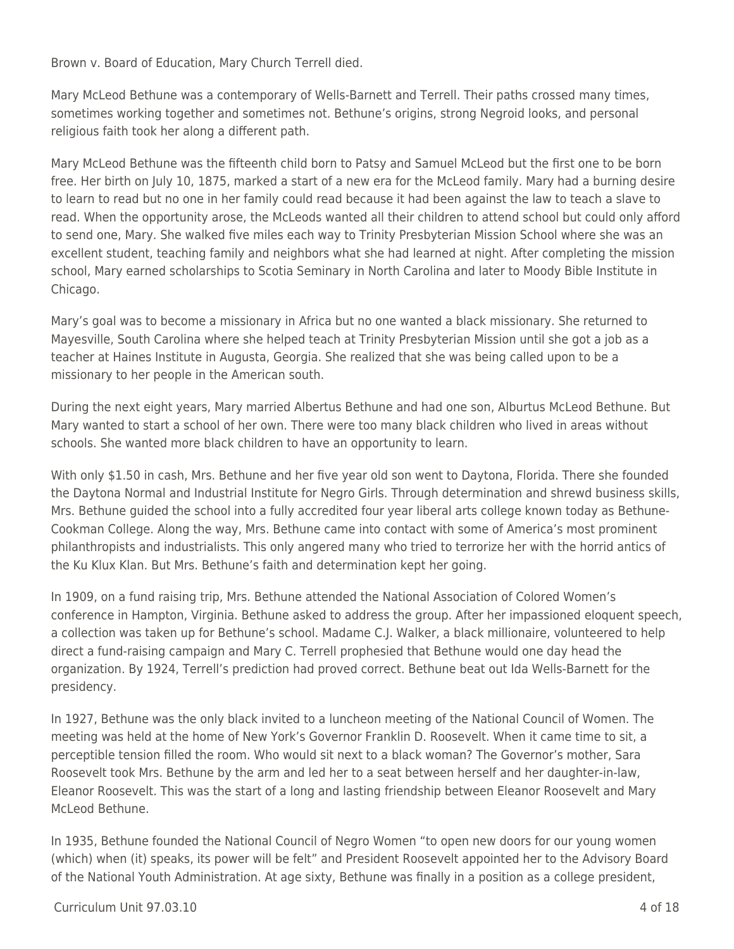Brown v. Board of Education, Mary Church Terrell died.

Mary McLeod Bethune was a contemporary of Wells-Barnett and Terrell. Their paths crossed many times, sometimes working together and sometimes not. Bethune's origins, strong Negroid looks, and personal religious faith took her along a different path.

Mary McLeod Bethune was the fifteenth child born to Patsy and Samuel McLeod but the first one to be born free. Her birth on July 10, 1875, marked a start of a new era for the McLeod family. Mary had a burning desire to learn to read but no one in her family could read because it had been against the law to teach a slave to read. When the opportunity arose, the McLeods wanted all their children to attend school but could only afford to send one, Mary. She walked five miles each way to Trinity Presbyterian Mission School where she was an excellent student, teaching family and neighbors what she had learned at night. After completing the mission school, Mary earned scholarships to Scotia Seminary in North Carolina and later to Moody Bible Institute in Chicago.

Mary's goal was to become a missionary in Africa but no one wanted a black missionary. She returned to Mayesville, South Carolina where she helped teach at Trinity Presbyterian Mission until she got a job as a teacher at Haines Institute in Augusta, Georgia. She realized that she was being called upon to be a missionary to her people in the American south.

During the next eight years, Mary married Albertus Bethune and had one son, Alburtus McLeod Bethune. But Mary wanted to start a school of her own. There were too many black children who lived in areas without schools. She wanted more black children to have an opportunity to learn.

With only \$1.50 in cash, Mrs. Bethune and her five year old son went to Daytona, Florida. There she founded the Daytona Normal and Industrial Institute for Negro Girls. Through determination and shrewd business skills, Mrs. Bethune guided the school into a fully accredited four year liberal arts college known today as Bethune-Cookman College. Along the way, Mrs. Bethune came into contact with some of America's most prominent philanthropists and industrialists. This only angered many who tried to terrorize her with the horrid antics of the Ku Klux Klan. But Mrs. Bethune's faith and determination kept her going.

In 1909, on a fund raising trip, Mrs. Bethune attended the National Association of Colored Women's conference in Hampton, Virginia. Bethune asked to address the group. After her impassioned eloquent speech, a collection was taken up for Bethune's school. Madame C.J. Walker, a black millionaire, volunteered to help direct a fund-raising campaign and Mary C. Terrell prophesied that Bethune would one day head the organization. By 1924, Terrell's prediction had proved correct. Bethune beat out Ida Wells-Barnett for the presidency.

In 1927, Bethune was the only black invited to a luncheon meeting of the National Council of Women. The meeting was held at the home of New York's Governor Franklin D. Roosevelt. When it came time to sit, a perceptible tension filled the room. Who would sit next to a black woman? The Governor's mother, Sara Roosevelt took Mrs. Bethune by the arm and led her to a seat between herself and her daughter-in-law, Eleanor Roosevelt. This was the start of a long and lasting friendship between Eleanor Roosevelt and Mary McLeod Bethune.

In 1935, Bethune founded the National Council of Negro Women "to open new doors for our young women (which) when (it) speaks, its power will be felt" and President Roosevelt appointed her to the Advisory Board of the National Youth Administration. At age sixty, Bethune was finally in a position as a college president,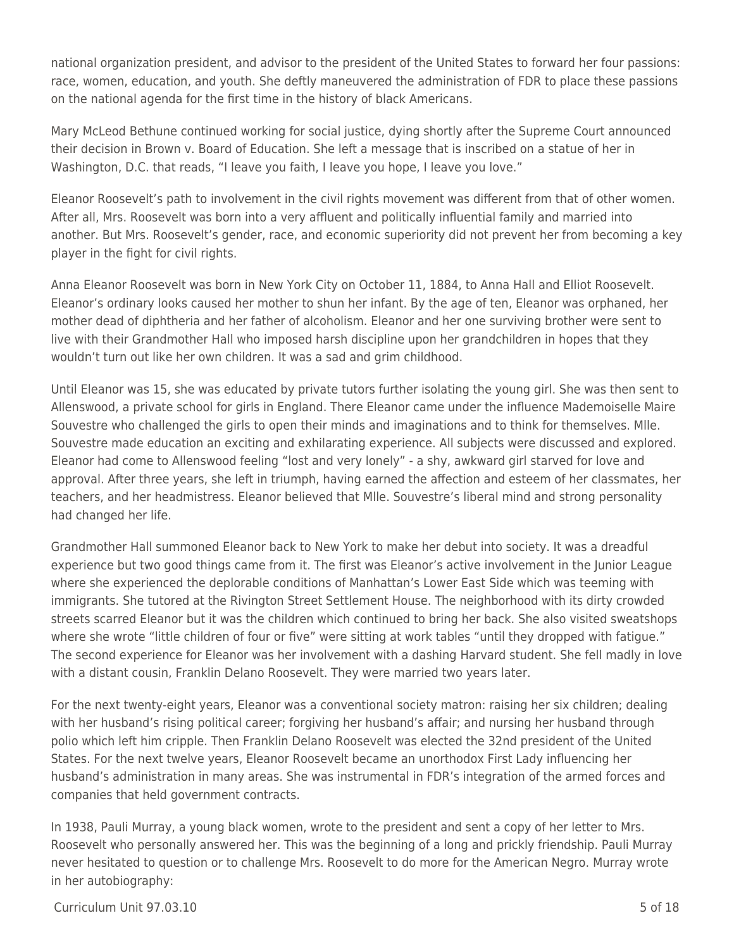national organization president, and advisor to the president of the United States to forward her four passions: race, women, education, and youth. She deftly maneuvered the administration of FDR to place these passions on the national agenda for the first time in the history of black Americans.

Mary McLeod Bethune continued working for social justice, dying shortly after the Supreme Court announced their decision in Brown v. Board of Education. She left a message that is inscribed on a statue of her in Washington, D.C. that reads, "I leave you faith, I leave you hope, I leave you love."

Eleanor Roosevelt's path to involvement in the civil rights movement was different from that of other women. After all, Mrs. Roosevelt was born into a very affluent and politically influential family and married into another. But Mrs. Roosevelt's gender, race, and economic superiority did not prevent her from becoming a key player in the fight for civil rights.

Anna Eleanor Roosevelt was born in New York City on October 11, 1884, to Anna Hall and Elliot Roosevelt. Eleanor's ordinary looks caused her mother to shun her infant. By the age of ten, Eleanor was orphaned, her mother dead of diphtheria and her father of alcoholism. Eleanor and her one surviving brother were sent to live with their Grandmother Hall who imposed harsh discipline upon her grandchildren in hopes that they wouldn't turn out like her own children. It was a sad and grim childhood.

Until Eleanor was 15, she was educated by private tutors further isolating the young girl. She was then sent to Allenswood, a private school for girls in England. There Eleanor came under the influence Mademoiselle Maire Souvestre who challenged the girls to open their minds and imaginations and to think for themselves. Mlle. Souvestre made education an exciting and exhilarating experience. All subjects were discussed and explored. Eleanor had come to Allenswood feeling "lost and very lonely" - a shy, awkward girl starved for love and approval. After three years, she left in triumph, having earned the affection and esteem of her classmates, her teachers, and her headmistress. Eleanor believed that Mlle. Souvestre's liberal mind and strong personality had changed her life.

Grandmother Hall summoned Eleanor back to New York to make her debut into society. It was a dreadful experience but two good things came from it. The first was Eleanor's active involvement in the Junior League where she experienced the deplorable conditions of Manhattan's Lower East Side which was teeming with immigrants. She tutored at the Rivington Street Settlement House. The neighborhood with its dirty crowded streets scarred Eleanor but it was the children which continued to bring her back. She also visited sweatshops where she wrote "little children of four or five" were sitting at work tables "until they dropped with fatigue." The second experience for Eleanor was her involvement with a dashing Harvard student. She fell madly in love with a distant cousin, Franklin Delano Roosevelt. They were married two years later.

For the next twenty-eight years, Eleanor was a conventional society matron: raising her six children; dealing with her husband's rising political career; forgiving her husband's affair; and nursing her husband through polio which left him cripple. Then Franklin Delano Roosevelt was elected the 32nd president of the United States. For the next twelve years, Eleanor Roosevelt became an unorthodox First Lady influencing her husband's administration in many areas. She was instrumental in FDR's integration of the armed forces and companies that held government contracts.

In 1938, Pauli Murray, a young black women, wrote to the president and sent a copy of her letter to Mrs. Roosevelt who personally answered her. This was the beginning of a long and prickly friendship. Pauli Murray never hesitated to question or to challenge Mrs. Roosevelt to do more for the American Negro. Murray wrote in her autobiography: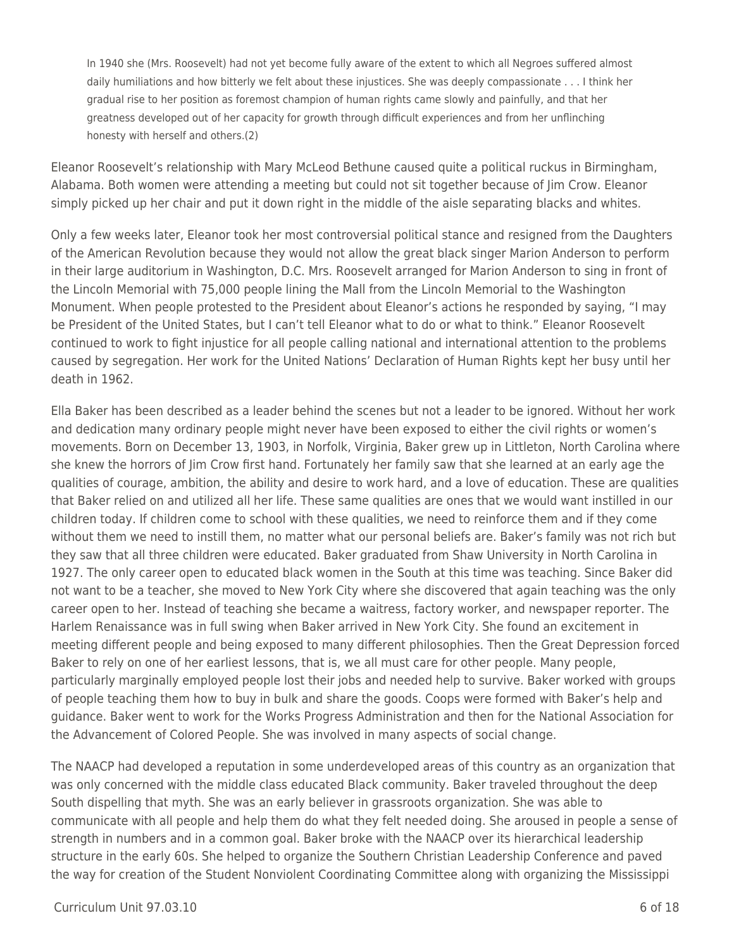In 1940 she (Mrs. Roosevelt) had not yet become fully aware of the extent to which all Negroes suffered almost daily humiliations and how bitterly we felt about these injustices. She was deeply compassionate . . . I think her gradual rise to her position as foremost champion of human rights came slowly and painfully, and that her greatness developed out of her capacity for growth through difficult experiences and from her unflinching honesty with herself and others.(2)

Eleanor Roosevelt's relationship with Mary McLeod Bethune caused quite a political ruckus in Birmingham, Alabama. Both women were attending a meeting but could not sit together because of Jim Crow. Eleanor simply picked up her chair and put it down right in the middle of the aisle separating blacks and whites.

Only a few weeks later, Eleanor took her most controversial political stance and resigned from the Daughters of the American Revolution because they would not allow the great black singer Marion Anderson to perform in their large auditorium in Washington, D.C. Mrs. Roosevelt arranged for Marion Anderson to sing in front of the Lincoln Memorial with 75,000 people lining the Mall from the Lincoln Memorial to the Washington Monument. When people protested to the President about Eleanor's actions he responded by saying, "I may be President of the United States, but I can't tell Eleanor what to do or what to think." Eleanor Roosevelt continued to work to fight injustice for all people calling national and international attention to the problems caused by segregation. Her work for the United Nations' Declaration of Human Rights kept her busy until her death in 1962.

Ella Baker has been described as a leader behind the scenes but not a leader to be ignored. Without her work and dedication many ordinary people might never have been exposed to either the civil rights or women's movements. Born on December 13, 1903, in Norfolk, Virginia, Baker grew up in Littleton, North Carolina where she knew the horrors of Jim Crow first hand. Fortunately her family saw that she learned at an early age the qualities of courage, ambition, the ability and desire to work hard, and a love of education. These are qualities that Baker relied on and utilized all her life. These same qualities are ones that we would want instilled in our children today. If children come to school with these qualities, we need to reinforce them and if they come without them we need to instill them, no matter what our personal beliefs are. Baker's family was not rich but they saw that all three children were educated. Baker graduated from Shaw University in North Carolina in 1927. The only career open to educated black women in the South at this time was teaching. Since Baker did not want to be a teacher, she moved to New York City where she discovered that again teaching was the only career open to her. Instead of teaching she became a waitress, factory worker, and newspaper reporter. The Harlem Renaissance was in full swing when Baker arrived in New York City. She found an excitement in meeting different people and being exposed to many different philosophies. Then the Great Depression forced Baker to rely on one of her earliest lessons, that is, we all must care for other people. Many people, particularly marginally employed people lost their jobs and needed help to survive. Baker worked with groups of people teaching them how to buy in bulk and share the goods. Coops were formed with Baker's help and guidance. Baker went to work for the Works Progress Administration and then for the National Association for the Advancement of Colored People. She was involved in many aspects of social change.

The NAACP had developed a reputation in some underdeveloped areas of this country as an organization that was only concerned with the middle class educated Black community. Baker traveled throughout the deep South dispelling that myth. She was an early believer in grassroots organization. She was able to communicate with all people and help them do what they felt needed doing. She aroused in people a sense of strength in numbers and in a common goal. Baker broke with the NAACP over its hierarchical leadership structure in the early 60s. She helped to organize the Southern Christian Leadership Conference and paved the way for creation of the Student Nonviolent Coordinating Committee along with organizing the Mississippi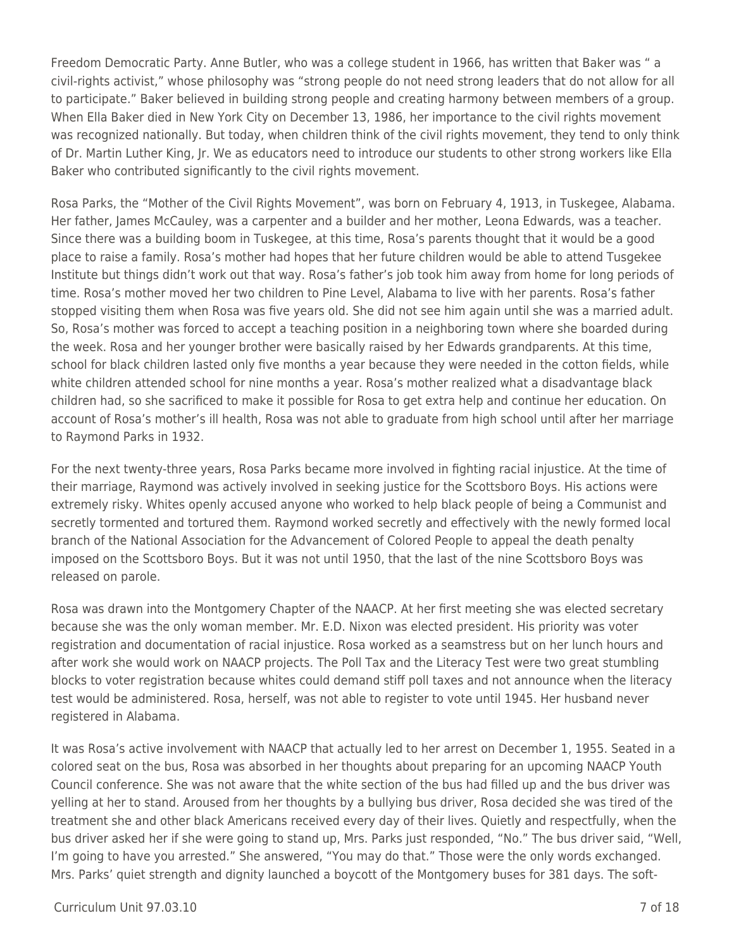Freedom Democratic Party. Anne Butler, who was a college student in 1966, has written that Baker was " a civil-rights activist," whose philosophy was "strong people do not need strong leaders that do not allow for all to participate." Baker believed in building strong people and creating harmony between members of a group. When Ella Baker died in New York City on December 13, 1986, her importance to the civil rights movement was recognized nationally. But today, when children think of the civil rights movement, they tend to only think of Dr. Martin Luther King, Jr. We as educators need to introduce our students to other strong workers like Ella Baker who contributed significantly to the civil rights movement.

Rosa Parks, the "Mother of the Civil Rights Movement", was born on February 4, 1913, in Tuskegee, Alabama. Her father, James McCauley, was a carpenter and a builder and her mother, Leona Edwards, was a teacher. Since there was a building boom in Tuskegee, at this time, Rosa's parents thought that it would be a good place to raise a family. Rosa's mother had hopes that her future children would be able to attend Tusgekee Institute but things didn't work out that way. Rosa's father's job took him away from home for long periods of time. Rosa's mother moved her two children to Pine Level, Alabama to live with her parents. Rosa's father stopped visiting them when Rosa was five years old. She did not see him again until she was a married adult. So, Rosa's mother was forced to accept a teaching position in a neighboring town where she boarded during the week. Rosa and her younger brother were basically raised by her Edwards grandparents. At this time, school for black children lasted only five months a year because they were needed in the cotton fields, while white children attended school for nine months a year. Rosa's mother realized what a disadvantage black children had, so she sacrificed to make it possible for Rosa to get extra help and continue her education. On account of Rosa's mother's ill health, Rosa was not able to graduate from high school until after her marriage to Raymond Parks in 1932.

For the next twenty-three years, Rosa Parks became more involved in fighting racial injustice. At the time of their marriage, Raymond was actively involved in seeking justice for the Scottsboro Boys. His actions were extremely risky. Whites openly accused anyone who worked to help black people of being a Communist and secretly tormented and tortured them. Raymond worked secretly and effectively with the newly formed local branch of the National Association for the Advancement of Colored People to appeal the death penalty imposed on the Scottsboro Boys. But it was not until 1950, that the last of the nine Scottsboro Boys was released on parole.

Rosa was drawn into the Montgomery Chapter of the NAACP. At her first meeting she was elected secretary because she was the only woman member. Mr. E.D. Nixon was elected president. His priority was voter registration and documentation of racial injustice. Rosa worked as a seamstress but on her lunch hours and after work she would work on NAACP projects. The Poll Tax and the Literacy Test were two great stumbling blocks to voter registration because whites could demand stiff poll taxes and not announce when the literacy test would be administered. Rosa, herself, was not able to register to vote until 1945. Her husband never registered in Alabama.

It was Rosa's active involvement with NAACP that actually led to her arrest on December 1, 1955. Seated in a colored seat on the bus, Rosa was absorbed in her thoughts about preparing for an upcoming NAACP Youth Council conference. She was not aware that the white section of the bus had filled up and the bus driver was yelling at her to stand. Aroused from her thoughts by a bullying bus driver, Rosa decided she was tired of the treatment she and other black Americans received every day of their lives. Quietly and respectfully, when the bus driver asked her if she were going to stand up, Mrs. Parks just responded, "No." The bus driver said, "Well, I'm going to have you arrested." She answered, "You may do that." Those were the only words exchanged. Mrs. Parks' quiet strength and dignity launched a boycott of the Montgomery buses for 381 days. The soft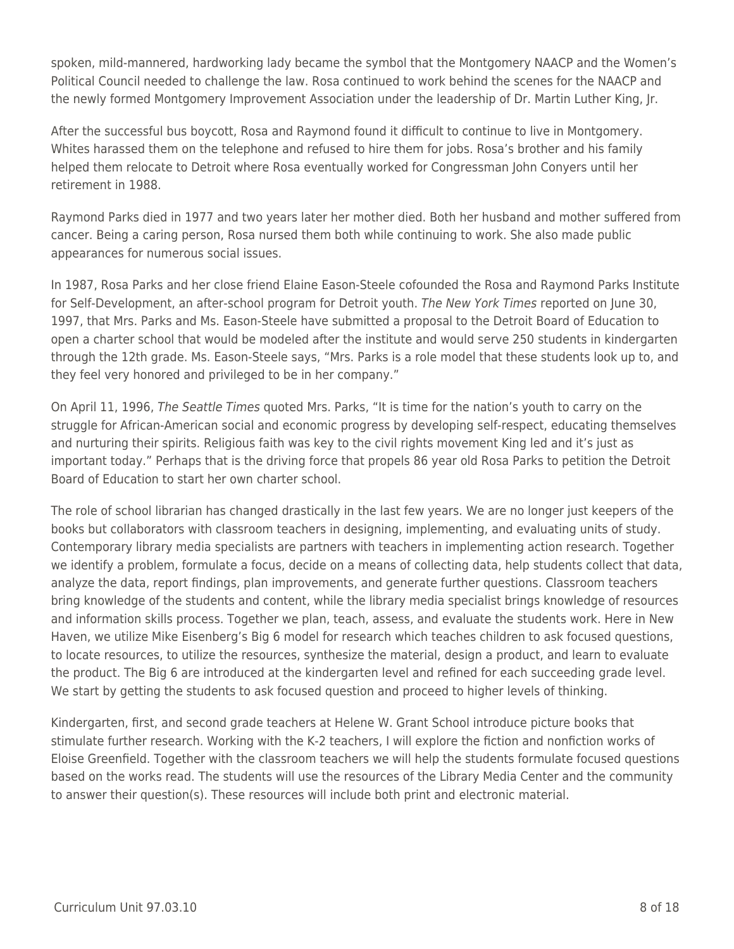spoken, mild-mannered, hardworking lady became the symbol that the Montgomery NAACP and the Women's Political Council needed to challenge the law. Rosa continued to work behind the scenes for the NAACP and the newly formed Montgomery Improvement Association under the leadership of Dr. Martin Luther King, Jr.

After the successful bus boycott, Rosa and Raymond found it difficult to continue to live in Montgomery. Whites harassed them on the telephone and refused to hire them for jobs. Rosa's brother and his family helped them relocate to Detroit where Rosa eventually worked for Congressman John Conyers until her retirement in 1988.

Raymond Parks died in 1977 and two years later her mother died. Both her husband and mother suffered from cancer. Being a caring person, Rosa nursed them both while continuing to work. She also made public appearances for numerous social issues.

In 1987, Rosa Parks and her close friend Elaine Eason-Steele cofounded the Rosa and Raymond Parks Institute for Self-Development, an after-school program for Detroit youth. The New York Times reported on June 30, 1997, that Mrs. Parks and Ms. Eason-Steele have submitted a proposal to the Detroit Board of Education to open a charter school that would be modeled after the institute and would serve 250 students in kindergarten through the 12th grade. Ms. Eason-Steele says, "Mrs. Parks is a role model that these students look up to, and they feel very honored and privileged to be in her company."

On April 11, 1996, The Seattle Times quoted Mrs. Parks, "It is time for the nation's youth to carry on the struggle for African-American social and economic progress by developing self-respect, educating themselves and nurturing their spirits. Religious faith was key to the civil rights movement King led and it's just as important today." Perhaps that is the driving force that propels 86 year old Rosa Parks to petition the Detroit Board of Education to start her own charter school.

The role of school librarian has changed drastically in the last few years. We are no longer just keepers of the books but collaborators with classroom teachers in designing, implementing, and evaluating units of study. Contemporary library media specialists are partners with teachers in implementing action research. Together we identify a problem, formulate a focus, decide on a means of collecting data, help students collect that data, analyze the data, report findings, plan improvements, and generate further questions. Classroom teachers bring knowledge of the students and content, while the library media specialist brings knowledge of resources and information skills process. Together we plan, teach, assess, and evaluate the students work. Here in New Haven, we utilize Mike Eisenberg's Big 6 model for research which teaches children to ask focused questions, to locate resources, to utilize the resources, synthesize the material, design a product, and learn to evaluate the product. The Big 6 are introduced at the kindergarten level and refined for each succeeding grade level. We start by getting the students to ask focused question and proceed to higher levels of thinking.

Kindergarten, first, and second grade teachers at Helene W. Grant School introduce picture books that stimulate further research. Working with the K-2 teachers, I will explore the fiction and nonfiction works of Eloise Greenfield. Together with the classroom teachers we will help the students formulate focused questions based on the works read. The students will use the resources of the Library Media Center and the community to answer their question(s). These resources will include both print and electronic material.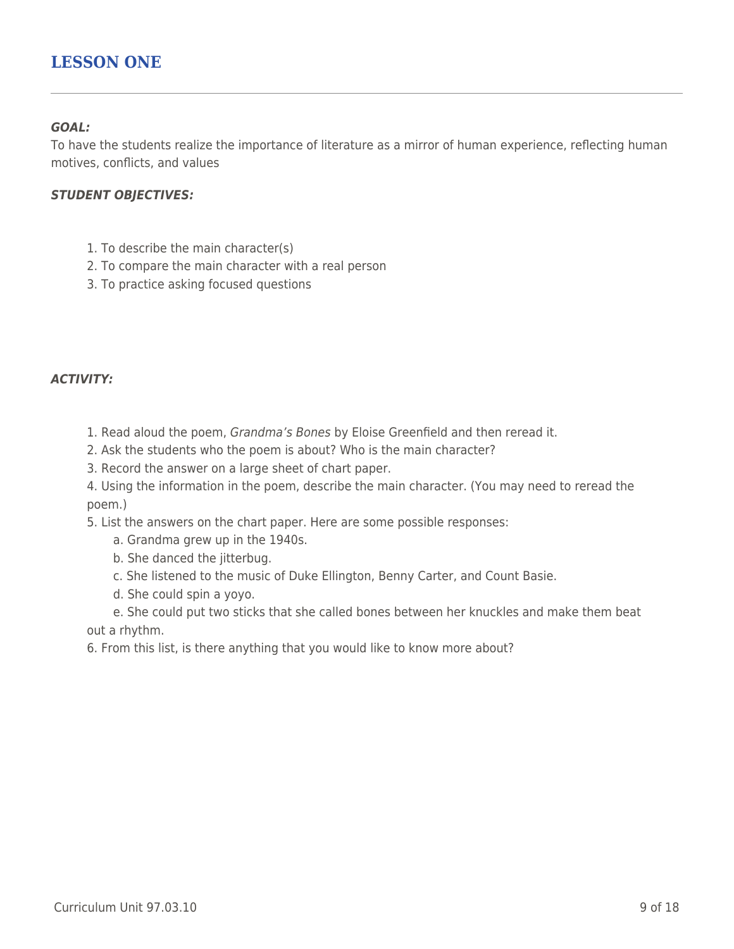# **LESSON ONE**

### *GOAL:*

To have the students realize the importance of literature as a mirror of human experience, reflecting human motives, conflicts, and values

#### *STUDENT OBJECTIVES:*

- 1. To describe the main character(s)
- 2. To compare the main character with a real person
- 3. To practice asking focused questions

### *ACTIVITY:*

- 1. Read aloud the poem, Grandma's Bones by Eloise Greenfield and then reread it.
- 2. Ask the students who the poem is about? Who is the main character?
- 3. Record the answer on a large sheet of chart paper.

4. Using the information in the poem, describe the main character. (You may need to reread the poem.)

5. List the answers on the chart paper. Here are some possible responses:

- a. Grandma grew up in the 1940s.
- b. She danced the jitterbug.
- \_\_\_\_ c. She listened to the music of Duke Ellington, Benny Carter, and Count Basie.
- d. She could spin a yoyo.

e. She could put two sticks that she called bones between her knuckles and make them beat out a rhythm.

6. From this list, is there anything that you would like to know more about?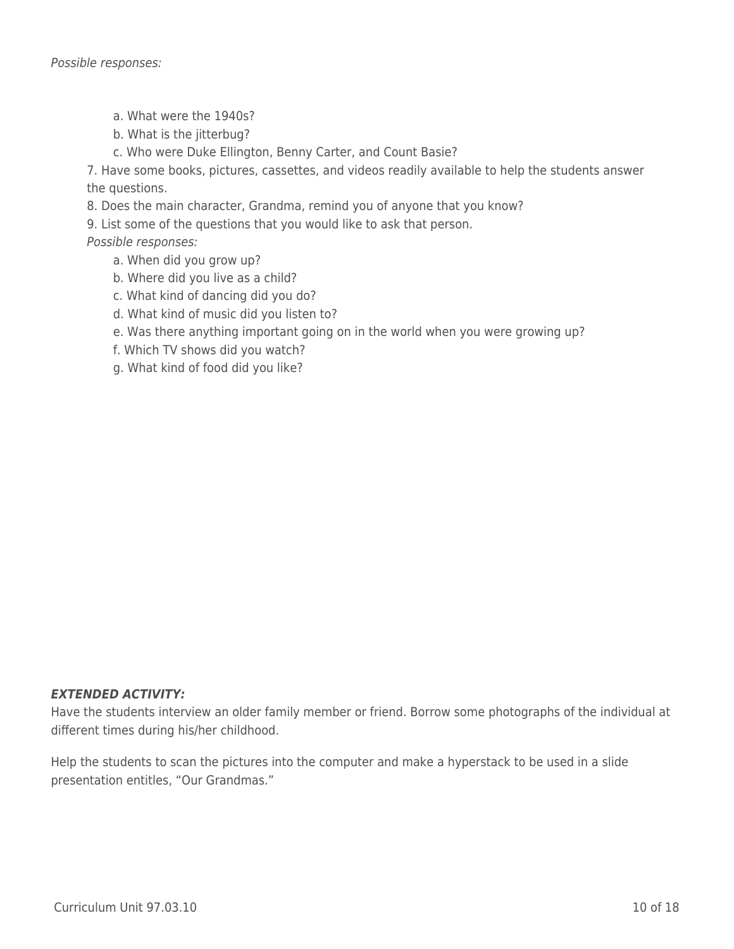- a. What were the 1940s?
- b. What is the jitterbug?
- c. Who were Duke Ellington, Benny Carter, and Count Basie?

7. Have some books, pictures, cassettes, and videos readily available to help the students answer the questions.

8. Does the main character, Grandma, remind you of anyone that you know?

9. List some of the questions that you would like to ask that person.

Possible responses:

- a. When did you grow up?
- b. Where did you live as a child?
- c. What kind of dancing did you do?
- d. What kind of music did you listen to?
- e. Was there anything important going on in the world when you were growing up?
- f. Which TV shows did you watch?
- g. What kind of food did you like?

#### *EXTENDED ACTIVITY:*

Have the students interview an older family member or friend. Borrow some photographs of the individual at different times during his/her childhood.

Help the students to scan the pictures into the computer and make a hyperstack to be used in a slide presentation entitles, "Our Grandmas."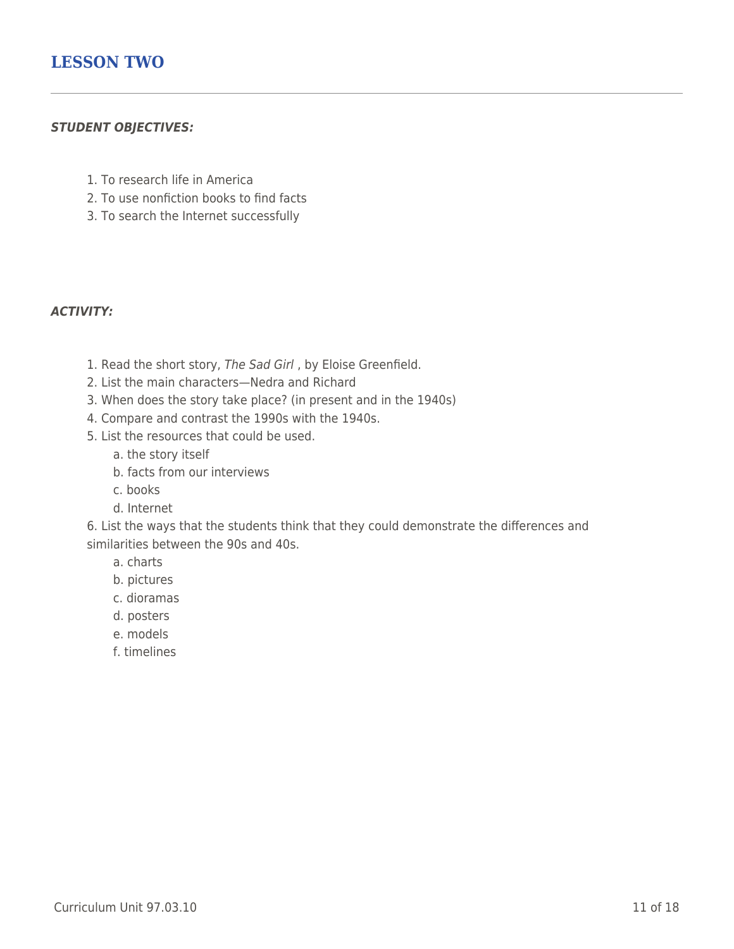### *STUDENT OBJECTIVES:*

- 1. To research life in America
- 2. To use nonfiction books to find facts
- 3. To search the Internet successfully

### *ACTIVITY:*

- 1. Read the short story, The Sad Girl , by Eloise Greenfield.
- 2. List the main characters—Nedra and Richard
- 3. When does the story take place? (in present and in the 1940s)
- 4. Compare and contrast the 1990s with the 1940s.
- 5. List the resources that could be used.
	- a. the story itself
	- b. facts from our interviews
	- \_\_\_\_ c. books
	- \_\_\_\_ d. Internet

6. List the ways that the students think that they could demonstrate the differences and similarities between the 90s and 40s.

- \_\_\_\_ a. charts
- b. pictures
- \_\_\_\_ c. dioramas
- \_\_\_\_ d. posters
- e. models
- \_\_\_\_ f. timelines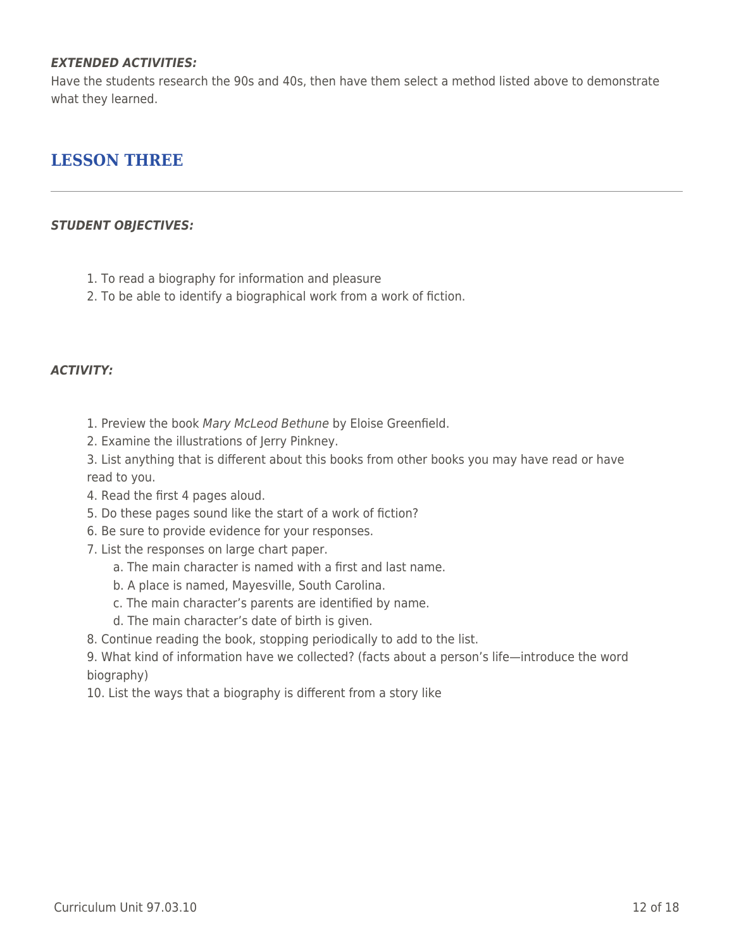### *EXTENDED ACTIVITIES:*

Have the students research the 90s and 40s, then have them select a method listed above to demonstrate what they learned.

## **LESSON THREE**

### *STUDENT OBJECTIVES:*

- 1. To read a biography for information and pleasure
- 2. To be able to identify a biographical work from a work of fiction.

### *ACTIVITY:*

- 1. Preview the book Mary McLeod Bethune by Eloise Greenfield.
- 2. Examine the illustrations of Jerry Pinkney.
- 3. List anything that is different about this books from other books you may have read or have read to you.
- 4. Read the first 4 pages aloud.
- 5. Do these pages sound like the start of a work of fiction?
- 6. Be sure to provide evidence for your responses.
- 7. List the responses on large chart paper.
	- a. The main character is named with a first and last name.
	- b. A place is named, Mayesville, South Carolina.
	- c. The main character's parents are identified by name.
	- d. The main character's date of birth is given.
- 8. Continue reading the book, stopping periodically to add to the list.

9. What kind of information have we collected? (facts about a person's life—introduce the word biography)

10. List the ways that a biography is different from a story like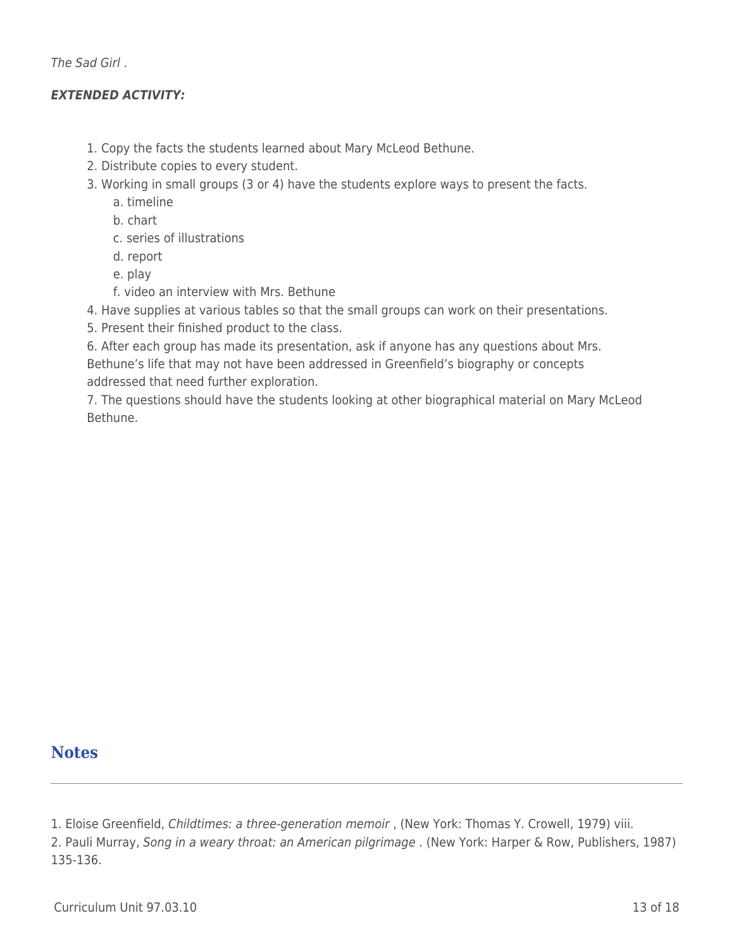The Sad Girl .

### *EXTENDED ACTIVITY:*

- 1. Copy the facts the students learned about Mary McLeod Bethune.
- 2. Distribute copies to every student.
- 3. Working in small groups (3 or 4) have the students explore ways to present the facts.
	- a. timeline
	- \_\_\_\_ b. chart
	- \_\_\_\_ c. series of illustrations
	- \_\_\_\_ d. report
	- e. play
	- f. video an interview with Mrs. Bethune
- 4. Have supplies at various tables so that the small groups can work on their presentations.
- 5. Present their finished product to the class.
- 6. After each group has made its presentation, ask if anyone has any questions about Mrs. Bethune's life that may not have been addressed in Greenfield's biography or concepts addressed that need further exploration.
- 7. The questions should have the students looking at other biographical material on Mary McLeod Bethune.

# **Notes**

- 1. Eloise Greenfield, Childtimes: a three-generation memoir , (New York: Thomas Y. Crowell, 1979) viii.
- 2. Pauli Murray, Song in a weary throat: an American pilgrimage . (New York: Harper & Row, Publishers, 1987) 135-136.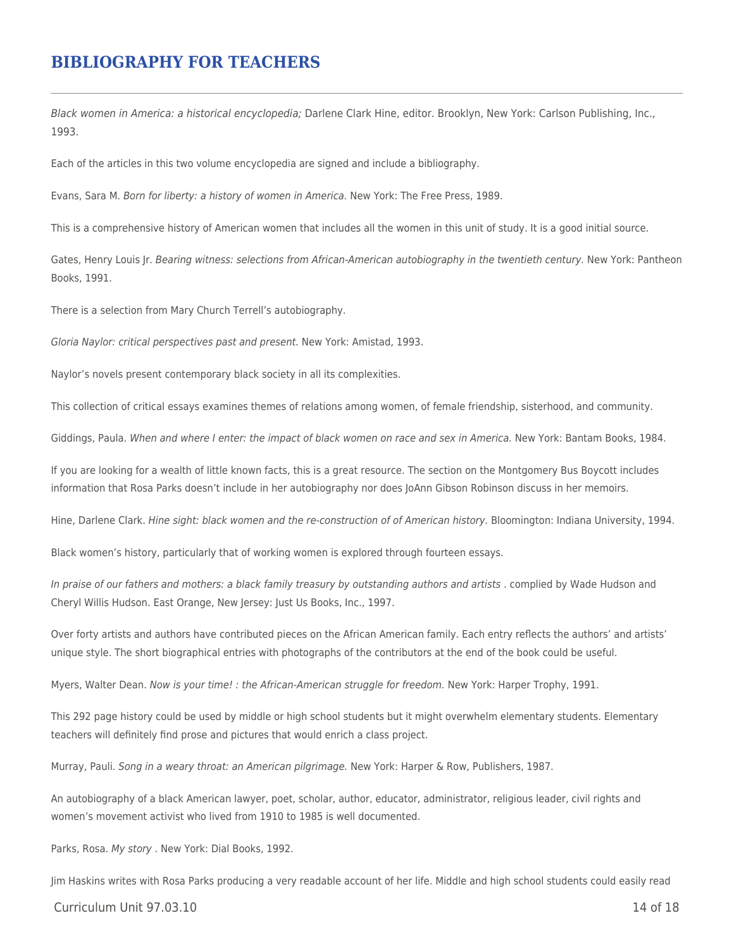## **BIBLIOGRAPHY FOR TEACHERS**

Black women in America: a historical encyclopedia; Darlene Clark Hine, editor. Brooklyn, New York: Carlson Publishing, Inc., 1993.

Each of the articles in this two volume encyclopedia are signed and include a bibliography.

Evans, Sara M. Born for liberty: a history of women in America. New York: The Free Press, 1989.

This is a comprehensive history of American women that includes all the women in this unit of study. It is a good initial source.

Gates, Henry Louis Jr. Bearing witness: selections from African-American autobiography in the twentieth century. New York: Pantheon Books, 1991.

There is a selection from Mary Church Terrell's autobiography.

Gloria Naylor: critical perspectives past and present. New York: Amistad, 1993.

Naylor's novels present contemporary black society in all its complexities.

This collection of critical essays examines themes of relations among women, of female friendship, sisterhood, and community.

Giddings, Paula. When and where I enter: the impact of black women on race and sex in America. New York: Bantam Books, 1984.

If you are looking for a wealth of little known facts, this is a great resource. The section on the Montgomery Bus Boycott includes information that Rosa Parks doesn't include in her autobiography nor does JoAnn Gibson Robinson discuss in her memoirs.

Hine, Darlene Clark. Hine sight: black women and the re-construction of of American history. Bloomington: Indiana University, 1994.

Black women's history, particularly that of working women is explored through fourteen essays.

In praise of our fathers and mothers: a black family treasury by outstanding authors and artists . complied by Wade Hudson and Cheryl Willis Hudson. East Orange, New Jersey: Just Us Books, Inc., 1997.

Over forty artists and authors have contributed pieces on the African American family. Each entry reflects the authors' and artists' unique style. The short biographical entries with photographs of the contributors at the end of the book could be useful.

Myers, Walter Dean. Now is your time! : the African-American struggle for freedom. New York: Harper Trophy, 1991.

This 292 page history could be used by middle or high school students but it might overwhelm elementary students. Elementary teachers will definitely find prose and pictures that would enrich a class project.

Murray, Pauli. Song in a weary throat: an American pilgrimage. New York: Harper & Row, Publishers, 1987.

An autobiography of a black American lawyer, poet, scholar, author, educator, administrator, religious leader, civil rights and women's movement activist who lived from 1910 to 1985 is well documented.

Parks, Rosa. My story . New York: Dial Books, 1992.

Jim Haskins writes with Rosa Parks producing a very readable account of her life. Middle and high school students could easily read

 $C$ urriculum Unit 97.03.10  $\qquad$  14 of 18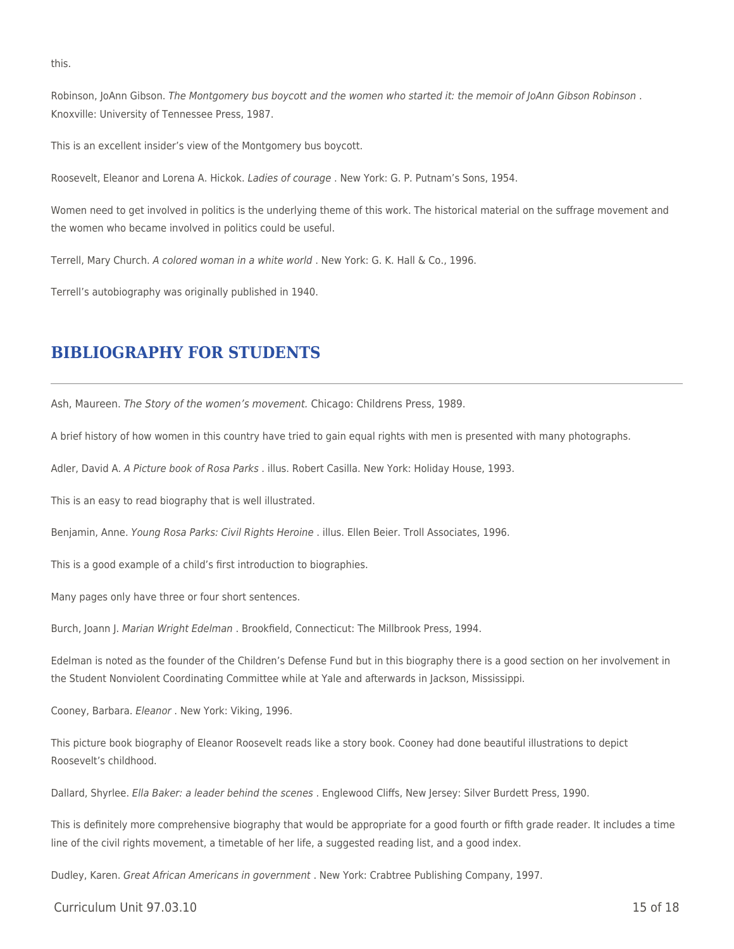this.

Robinson, JoAnn Gibson. The Montgomery bus boycott and the women who started it: the memoir of JoAnn Gibson Robinson. Knoxville: University of Tennessee Press, 1987.

This is an excellent insider's view of the Montgomery bus boycott.

Roosevelt, Eleanor and Lorena A. Hickok. Ladies of courage . New York: G. P. Putnam's Sons, 1954.

Women need to get involved in politics is the underlying theme of this work. The historical material on the suffrage movement and the women who became involved in politics could be useful.

Terrell, Mary Church. A colored woman in a white world . New York: G. K. Hall & Co., 1996.

Terrell's autobiography was originally published in 1940.

### **BIBLIOGRAPHY FOR STUDENTS**

Ash, Maureen. The Story of the women's movement. Chicago: Childrens Press, 1989.

A brief history of how women in this country have tried to gain equal rights with men is presented with many photographs.

Adler, David A. A Picture book of Rosa Parks . illus. Robert Casilla. New York: Holiday House, 1993.

This is an easy to read biography that is well illustrated.

Benjamin, Anne. Young Rosa Parks: Civil Rights Heroine . illus. Ellen Beier. Troll Associates, 1996.

This is a good example of a child's first introduction to biographies.

Many pages only have three or four short sentences.

Burch, Joann J. Marian Wright Edelman . Brookfield, Connecticut: The Millbrook Press, 1994.

Edelman is noted as the founder of the Children's Defense Fund but in this biography there is a good section on her involvement in the Student Nonviolent Coordinating Committee while at Yale and afterwards in Jackson, Mississippi.

Cooney, Barbara. Eleanor . New York: Viking, 1996.

This picture book biography of Eleanor Roosevelt reads like a story book. Cooney had done beautiful illustrations to depict Roosevelt's childhood.

Dallard, Shyrlee. Ella Baker: a leader behind the scenes . Englewood Cliffs, New Jersey: Silver Burdett Press, 1990.

This is definitely more comprehensive biography that would be appropriate for a good fourth or fifth grade reader. It includes a time line of the civil rights movement, a timetable of her life, a suggested reading list, and a good index.

Dudley, Karen. Great African Americans in government . New York: Crabtree Publishing Company, 1997.

 $C$ urriculum Unit 97.03.10 15 of 18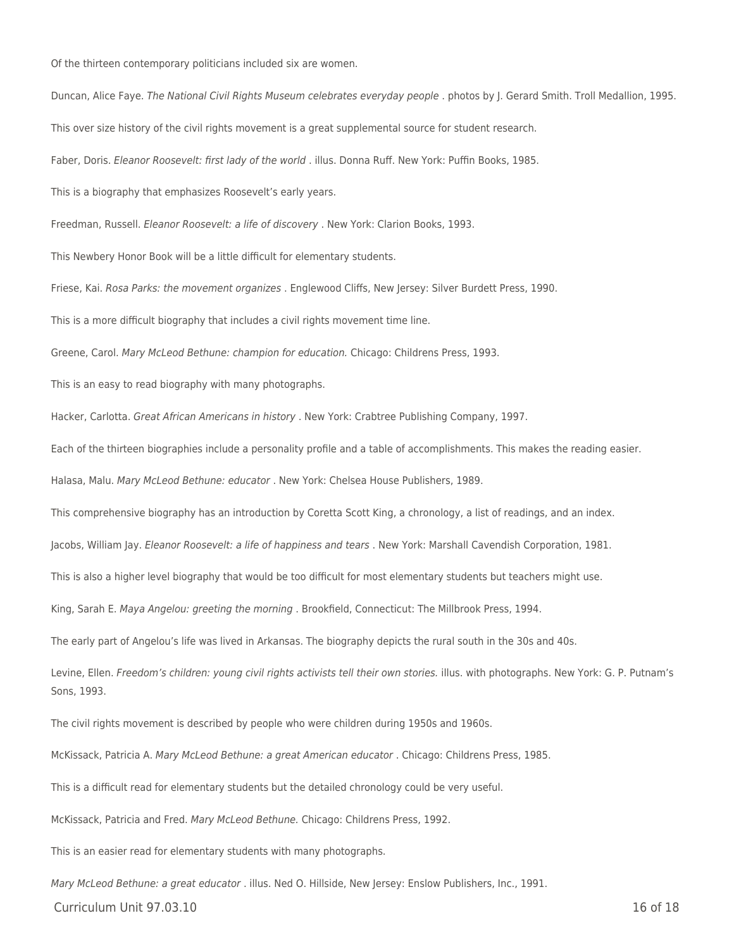Of the thirteen contemporary politicians included six are women.

Duncan, Alice Faye. The National Civil Rights Museum celebrates everyday people . photos by J. Gerard Smith. Troll Medallion, 1995. This over size history of the civil rights movement is a great supplemental source for student research. Faber, Doris. Eleanor Roosevelt: first lady of the world . illus. Donna Ruff. New York: Puffin Books, 1985. This is a biography that emphasizes Roosevelt's early years. Freedman, Russell. Eleanor Roosevelt: a life of discovery . New York: Clarion Books, 1993. This Newbery Honor Book will be a little difficult for elementary students. Friese, Kai. Rosa Parks: the movement organizes . Englewood Cliffs, New Jersey: Silver Burdett Press, 1990. This is a more difficult biography that includes a civil rights movement time line. Greene, Carol. Mary McLeod Bethune: champion for education. Chicago: Childrens Press, 1993. This is an easy to read biography with many photographs. Hacker, Carlotta. Great African Americans in history . New York: Crabtree Publishing Company, 1997. Each of the thirteen biographies include a personality profile and a table of accomplishments. This makes the reading easier. Halasa, Malu. Mary McLeod Bethune: educator . New York: Chelsea House Publishers, 1989. This comprehensive biography has an introduction by Coretta Scott King, a chronology, a list of readings, and an index. Jacobs, William Jay. Eleanor Roosevelt: a life of happiness and tears . New York: Marshall Cavendish Corporation, 1981. This is also a higher level biography that would be too difficult for most elementary students but teachers might use. King, Sarah E. Maya Angelou: greeting the morning . Brookfield, Connecticut: The Millbrook Press, 1994. The early part of Angelou's life was lived in Arkansas. The biography depicts the rural south in the 30s and 40s. Levine, Ellen. Freedom's children: young civil rights activists tell their own stories. illus. with photographs. New York: G. P. Putnam's Sons, 1993. The civil rights movement is described by people who were children during 1950s and 1960s. McKissack, Patricia A. Mary McLeod Bethune: a great American educator . Chicago: Childrens Press, 1985. This is a difficult read for elementary students but the detailed chronology could be very useful. McKissack, Patricia and Fred. Mary McLeod Bethune. Chicago: Childrens Press, 1992.

This is an easier read for elementary students with many photographs.

Mary McLeod Bethune: a great educator . illus. Ned O. Hillside, New Jersey: Enslow Publishers, Inc., 1991.

Curriculum Unit 97.03.10 16 of 18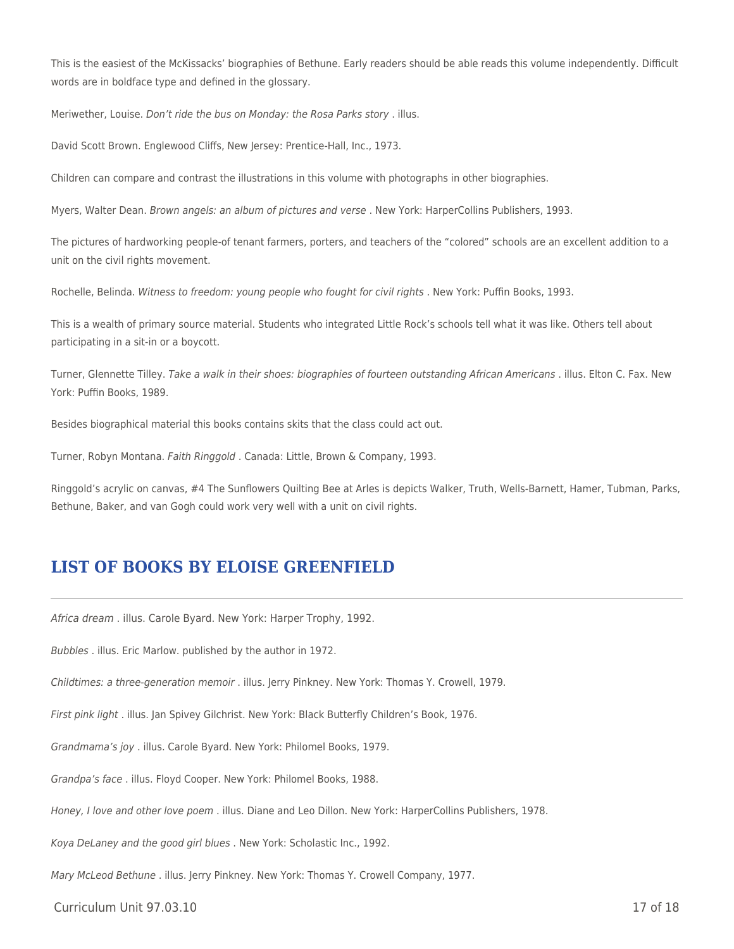This is the easiest of the McKissacks' biographies of Bethune. Early readers should be able reads this volume independently. Difficult words are in boldface type and defined in the glossary.

Meriwether, Louise. Don't ride the bus on Monday: the Rosa Parks story . illus.

David Scott Brown. Englewood Cliffs, New Jersey: Prentice-Hall, Inc., 1973.

Children can compare and contrast the illustrations in this volume with photographs in other biographies.

Myers, Walter Dean. Brown angels: an album of pictures and verse . New York: HarperCollins Publishers, 1993.

The pictures of hardworking people-of tenant farmers, porters, and teachers of the "colored" schools are an excellent addition to a unit on the civil rights movement.

Rochelle, Belinda. Witness to freedom: young people who fought for civil rights . New York: Puffin Books, 1993.

This is a wealth of primary source material. Students who integrated Little Rock's schools tell what it was like. Others tell about participating in a sit-in or a boycott.

Turner, Glennette Tilley. Take a walk in their shoes: biographies of fourteen outstanding African Americans . illus. Elton C. Fax. New York: Puffin Books, 1989.

Besides biographical material this books contains skits that the class could act out.

Turner, Robyn Montana. Faith Ringgold . Canada: Little, Brown & Company, 1993.

Ringgold's acrylic on canvas, #4 The Sunflowers Quilting Bee at Arles is depicts Walker, Truth, Wells-Barnett, Hamer, Tubman, Parks, Bethune, Baker, and van Gogh could work very well with a unit on civil rights.

### **LIST OF BOOKS BY ELOISE GREENFIELD**

Africa dream . illus. Carole Byard. New York: Harper Trophy, 1992.

Bubbles . illus. Eric Marlow. published by the author in 1972.

Childtimes: a three-generation memoir . illus. Jerry Pinkney. New York: Thomas Y. Crowell, 1979.

First pink light . illus. Jan Spivey Gilchrist. New York: Black Butterfly Children's Book, 1976.

Grandmama's joy . illus. Carole Byard. New York: Philomel Books, 1979.

Grandpa's face . illus. Floyd Cooper. New York: Philomel Books, 1988.

Honey, I love and other love poem . illus. Diane and Leo Dillon. New York: HarperCollins Publishers, 1978.

Koya DeLaney and the good girl blues . New York: Scholastic Inc., 1992.

Mary McLeod Bethune . illus. Jerry Pinkney. New York: Thomas Y. Crowell Company, 1977.

Curriculum Unit 97.03.10 17 of 18